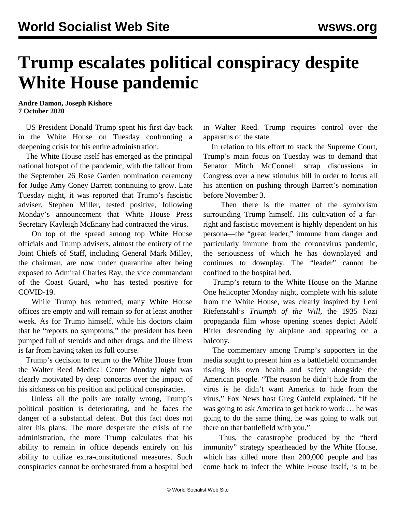## **Trump escalates political conspiracy despite White House pandemic**

**Andre Damon, Joseph Kishore 7 October 2020**

 US President Donald Trump spent his first day back in the White House on Tuesday confronting a deepening crisis for his entire administration.

 The White House itself has emerged as the principal national hotspot of the pandemic, with the fallout from the September 26 Rose Garden nomination ceremony for Judge Amy Coney Barrett continuing to grow. Late Tuesday night, it was reported that Trump's fascistic adviser, Stephen Miller, tested positive, following Monday's announcement that White House Press Secretary Kayleigh McEnany had contracted the virus.

 On top of the spread among top White House officials and Trump advisers, almost the entirety of the Joint Chiefs of Staff, including General Mark Milley, the chairman, are now under quarantine after being exposed to Admiral Charles Ray, the vice commandant of the Coast Guard, who has tested positive for COVID-19.

 While Trump has returned, many White House offices are empty and will remain so for at least another week. As for Trump himself, while his doctors claim that he "reports no symptoms," the president has been pumped full of steroids and other drugs, and the illness is far from having taken its full course.

 Trump's decision to return to the White House from the Walter Reed Medical Center Monday night was clearly motivated by deep concerns over the impact of his sickness on his position and political conspiracies.

 Unless all the polls are totally wrong, Trump's political position is deteriorating, and he faces the danger of a substantial defeat. But this fact does not alter his plans. The more desperate the crisis of the administration, the more Trump calculates that his ability to remain in office depends entirely on his ability to utilize extra-constitutional measures. Such conspiracies cannot be orchestrated from a hospital bed in Walter Reed. Trump requires control over the apparatus of the state.

 In relation to his effort to stack the Supreme Court, Trump's main focus on Tuesday was to demand that Senator Mitch McConnell scrap discussions in Congress over a new stimulus bill in order to focus all his attention on pushing through Barrett's nomination before November 3.

 Then there is the matter of the symbolism surrounding Trump himself. His cultivation of a farright and fascistic movement is highly dependent on his persona—the "great leader," immune from danger and particularly immune from the coronavirus pandemic, the seriousness of which he has downplayed and continues to downplay. The "leader" cannot be confined to the hospital bed.

 Trump's return to the White House on the Marine One helicopter Monday night, complete with his salute from the White House, was [clearly inspired](/en/articles/2020/10/07/trum-o07.html) by Leni Riefenstahl's *Triumph of the Will*, the 1935 Nazi propaganda film whose opening scenes depict Adolf Hitler descending by airplane and appearing on a balcony.

 The commentary among Trump's supporters in the media sought to present him as a battlefield commander risking his own health and safety alongside the American people. "The reason he didn't hide from the virus is he didn't want America to hide from the virus," Fox News host Greg Gutfeld explained. "If he was going to ask America to get back to work … he was going to do the same thing, he was going to walk out there on that battlefield with you."

 Thus, the catastrophe produced by the "herd immunity" strategy spearheaded by the White House, which has killed more than 200,000 people and has come back to infect the White House itself, is to be